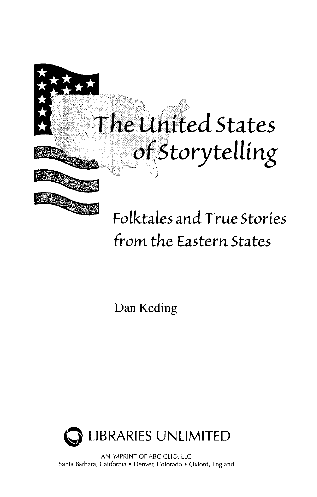

## *Folktales* and. *True Stories from* the *Eastern States*

Dan Keding



AN IMPRINT OF ABC-CLIO, LLC Santa Barbara, California • Denver, Colorado • Oxford, England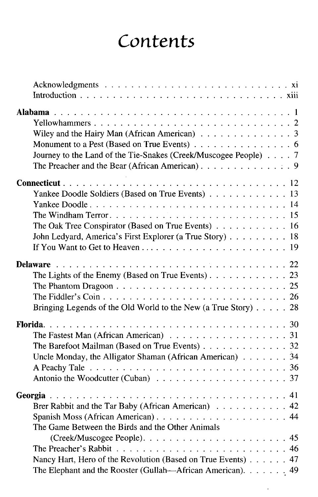## *Contents*

| Wiley and the Hairy Man (African American) $\ldots \ldots \ldots \ldots \ldots$          |  |
|------------------------------------------------------------------------------------------|--|
| Monument to a Pest (Based on True Events) 6                                              |  |
| Journey to the Land of the Tie-Snakes (Creek/Muscogee People) 7                          |  |
| The Preacher and the Bear (African American). 9                                          |  |
|                                                                                          |  |
| Yankee Doodle Soldiers (Based on True Events) 13                                         |  |
|                                                                                          |  |
|                                                                                          |  |
| The Oak Tree Conspirator (Based on True Events) 16                                       |  |
| John Ledyard, America's First Explorer (a True Story) 18                                 |  |
|                                                                                          |  |
|                                                                                          |  |
|                                                                                          |  |
| The Lights of the Enemy (Based on True Events). $\ldots$ 23                              |  |
|                                                                                          |  |
|                                                                                          |  |
| Bringing Legends of the Old World to the New (a True Story) $\ldots$ 28                  |  |
|                                                                                          |  |
| The Fastest Man (African American) $\ldots \ldots \ldots \ldots \ldots \ldots \ldots$ 31 |  |
| The Barefoot Mailman (Based on True Events) 32                                           |  |
| Uncle Monday, the Alligator Shaman (African American) $\ldots$ , ,  34                   |  |
|                                                                                          |  |
|                                                                                          |  |
|                                                                                          |  |
| Brer Rabbit and the Tar Baby (African American) 42                                       |  |
|                                                                                          |  |
| The Game Between the Birds and the Other Animals                                         |  |
|                                                                                          |  |
|                                                                                          |  |
| Nancy Hart, Hero of the Revolution (Based on True Events) 47                             |  |
| The Elephant and the Rooster (Gullah—African American). 49                               |  |
|                                                                                          |  |

 $\ddot{\phantom{0}}$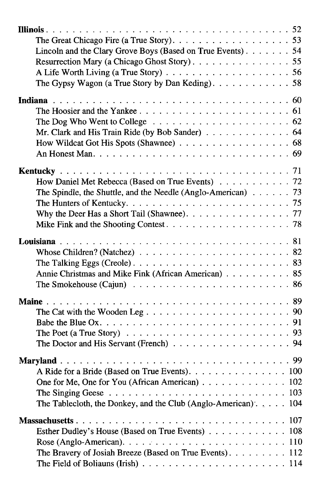| The Great Chicago Fire (a True Story). $\ldots$ 53                                                                                        |  |
|-------------------------------------------------------------------------------------------------------------------------------------------|--|
| Lincoln and the Clary Grove Boys (Based on True Events). 54                                                                               |  |
| Resurrection Mary (a Chicago Ghost Story). 55<br>A Life Worth Living (a True Story) $\ldots \ldots \ldots \ldots \ldots \ldots \ldots 56$ |  |
| The Gypsy Wagon (a True Story by Dan Keding). $\dots \dots \dots \dots \dots$ 58                                                          |  |
|                                                                                                                                           |  |
|                                                                                                                                           |  |
|                                                                                                                                           |  |
| The Dog Who Went to College $\ldots \ldots \ldots \ldots \ldots \ldots \ldots \ldots$ 62                                                  |  |
| Mr. Clark and His Train Ride (by Bob Sander) 64                                                                                           |  |
|                                                                                                                                           |  |
|                                                                                                                                           |  |
|                                                                                                                                           |  |
| How Daniel Met Rebecca (Based on True Events) 72                                                                                          |  |
| The Spindle, the Shuttle, and the Needle (Anglo-American) $\ldots$ 73                                                                     |  |
|                                                                                                                                           |  |
| Why the Deer Has a Short Tail (Shawnee). 77                                                                                               |  |
|                                                                                                                                           |  |
|                                                                                                                                           |  |
| Whose Children? (Natchez) $\ldots \ldots \ldots \ldots \ldots \ldots \ldots \ldots \ldots 82$                                             |  |
| The Talking Eggs (Creole). $\ldots \ldots \ldots \ldots \ldots \ldots \ldots \ldots \ldots 83$                                            |  |
| Annie Christmas and Mike Fink (African American) 85                                                                                       |  |
|                                                                                                                                           |  |
|                                                                                                                                           |  |
|                                                                                                                                           |  |
|                                                                                                                                           |  |
|                                                                                                                                           |  |
| The Poet (a True Story) $\ldots \ldots \ldots \ldots \ldots \ldots \ldots \ldots \ldots \ldots$<br>The Doctor and His Servant (French) 94 |  |
|                                                                                                                                           |  |
|                                                                                                                                           |  |
| A Ride for a Bride (Based on True Events). 100                                                                                            |  |
| One for Me, One for You (African American) 102                                                                                            |  |
| The Singing Geese $\ldots \ldots \ldots \ldots \ldots \ldots \ldots \ldots \ldots \ldots \ldots 103$                                      |  |
| The Tablecloth, the Donkey, and the Club (Anglo-American). 104                                                                            |  |
|                                                                                                                                           |  |
| Esther Dudley's House (Based on True Events) 108                                                                                          |  |
| Rose (Anglo-American). $\ldots \ldots \ldots \ldots \ldots \ldots \ldots \ldots \ldots 110$                                               |  |
| The Bravery of Josiah Breeze (Based on True Events). 112                                                                                  |  |
|                                                                                                                                           |  |
|                                                                                                                                           |  |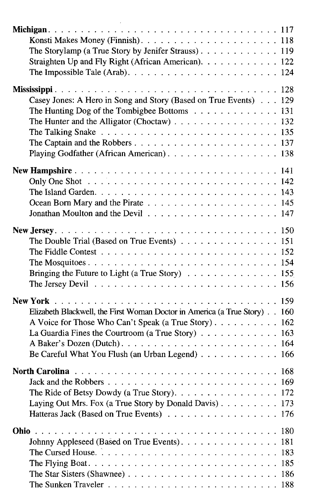| The Storylamp (a True Story by Jenifer Strauss). 119                                                  |  |     |
|-------------------------------------------------------------------------------------------------------|--|-----|
|                                                                                                       |  |     |
| Straighten Up and Fly Right (African American). 122                                                   |  |     |
|                                                                                                       |  |     |
|                                                                                                       |  |     |
| Casey Jones: A Hero in Song and Story (Based on True Events) 129                                      |  |     |
| The Hunting Dog of the Tombigbee Bottoms 131                                                          |  |     |
| The Hunter and the Alligator (Choctaw) $\ldots \ldots \ldots \ldots \ldots \ldots 132$                |  |     |
|                                                                                                       |  |     |
| The Talking Snake $\ldots \ldots \ldots \ldots \ldots \ldots \ldots \ldots \ldots \ldots \ldots 135$  |  |     |
|                                                                                                       |  |     |
| Playing Godfather (African American). 138                                                             |  |     |
|                                                                                                       |  |     |
|                                                                                                       |  |     |
|                                                                                                       |  |     |
|                                                                                                       |  |     |
|                                                                                                       |  |     |
|                                                                                                       |  |     |
|                                                                                                       |  |     |
| The Double Trial (Based on True Events) 151                                                           |  |     |
| The Fiddle Contest $\ldots \ldots \ldots \ldots \ldots \ldots \ldots \ldots \ldots \ldots \ldots 152$ |  |     |
|                                                                                                       |  |     |
| Bringing the Future to Light (a True Story) $\ldots \ldots \ldots \ldots \ldots 155$                  |  |     |
| The Jersey Devil $\ldots \ldots \ldots \ldots \ldots \ldots \ldots \ldots \ldots \ldots \ldots 156$   |  |     |
|                                                                                                       |  |     |
|                                                                                                       |  |     |
| Elizabeth Blackwell, the First Woman Doctor in America (a True Story) 160                             |  |     |
| A Voice for Those Who Can't Speak (a True Story) 162                                                  |  |     |
| La Guardia Fines the Courtroom (a True Story) 163                                                     |  |     |
|                                                                                                       |  |     |
| Be Careful What You Flush (an Urban Legend) 166                                                       |  |     |
|                                                                                                       |  |     |
|                                                                                                       |  |     |
|                                                                                                       |  |     |
| The Ride of Betsy Dowdy (a True Story). $\ldots \ldots \ldots \ldots \ldots \ldots 172$               |  |     |
| Laying Out Mrs. Fox (a True Story by Donald Davis) 173                                                |  |     |
| Hatteras Jack (Based on True Events) 176                                                              |  |     |
|                                                                                                       |  |     |
| Johnny Appleseed (Based on True Events). 181                                                          |  |     |
|                                                                                                       |  | 183 |
|                                                                                                       |  |     |
|                                                                                                       |  | 185 |
| The Star Sisters (Shawnee) $\ldots \ldots \ldots \ldots \ldots \ldots \ldots \ldots \ldots 186$       |  |     |
|                                                                                                       |  |     |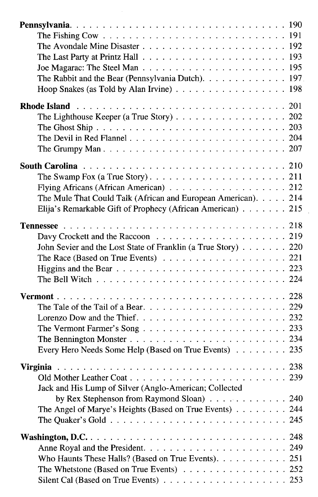| The Last Party at Printz Hall $\ldots \ldots \ldots \ldots \ldots \ldots \ldots \ldots \ldots$ 193 |  |  |
|----------------------------------------------------------------------------------------------------|--|--|
|                                                                                                    |  |  |
| The Rabbit and the Bear (Pennsylvania Dutch). $\ldots \ldots \ldots \ldots \ldots$ 197             |  |  |
| Hoop Snakes (as Told by Alan Irvine) $\ldots \ldots \ldots \ldots \ldots \ldots \ldots$            |  |  |
|                                                                                                    |  |  |
| The Lighthouse Keeper (a True Story) $\ldots \ldots \ldots \ldots \ldots \ldots 202$               |  |  |
|                                                                                                    |  |  |
|                                                                                                    |  |  |
|                                                                                                    |  |  |
|                                                                                                    |  |  |
|                                                                                                    |  |  |
|                                                                                                    |  |  |
| Flying Africans (African American) 212                                                             |  |  |
| The Mule That Could Talk (African and European American). 214                                      |  |  |
| Elija's Remarkable Gift of Prophecy (African American) 215                                         |  |  |
|                                                                                                    |  |  |
|                                                                                                    |  |  |
| John Sevier and the Lost State of Franklin (a True Story) 220                                      |  |  |
| The Race (Based on True Events) $\ldots$ 221                                                       |  |  |
|                                                                                                    |  |  |
| The Bell Witch $\ldots \ldots \ldots \ldots \ldots \ldots \ldots \ldots \ldots \ldots$             |  |  |
|                                                                                                    |  |  |
|                                                                                                    |  |  |
|                                                                                                    |  |  |
|                                                                                                    |  |  |
|                                                                                                    |  |  |
| Every Hero Needs Some Help (Based on True Events) 235                                              |  |  |
|                                                                                                    |  |  |
|                                                                                                    |  |  |
|                                                                                                    |  |  |
| Jack and His Lump of Silver (Anglo-American; Collected                                             |  |  |
| by Rex Stephenson from Raymond Sloan) 240                                                          |  |  |
| The Angel of Marye's Heights (Based on True Events) 244                                            |  |  |
|                                                                                                    |  |  |
|                                                                                                    |  |  |
|                                                                                                    |  |  |
| Who Haunts These Halls? (Based on True Events). $\ldots$ 251                                       |  |  |
| The Whetstone (Based on True Events) $\ldots \ldots \ldots \ldots \ldots \ldots 252$               |  |  |
|                                                                                                    |  |  |
|                                                                                                    |  |  |

 $\epsilon$